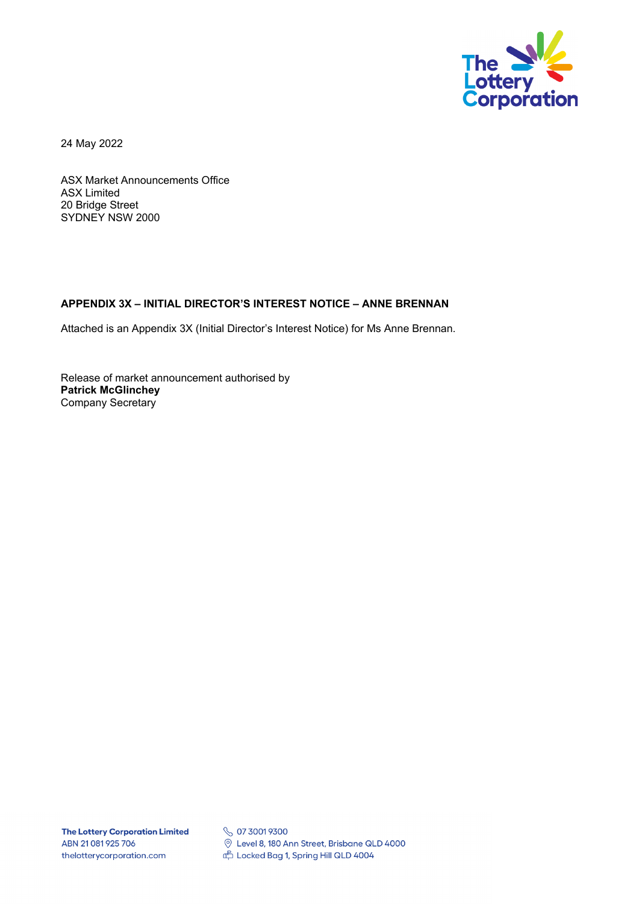

24 May 2022

ASX Market Announcements Office ASX Limited 20 Bridge Street SYDNEY NSW 2000

## **APPENDIX 3X – INITIAL DIRECTOR'S INTEREST NOTICE – ANNE BRENNAN**

Attached is an Appendix 3X (Initial Director's Interest Notice) for Ms Anne Brennan.

Release of market announcement authorised by **Patrick McGlinchey**  Company Secretary

**S** 07 3001 9300 © Level 8, 180 Ann Street, Brisbane QLD 4000 Locked Bag 1, Spring Hill QLD 4004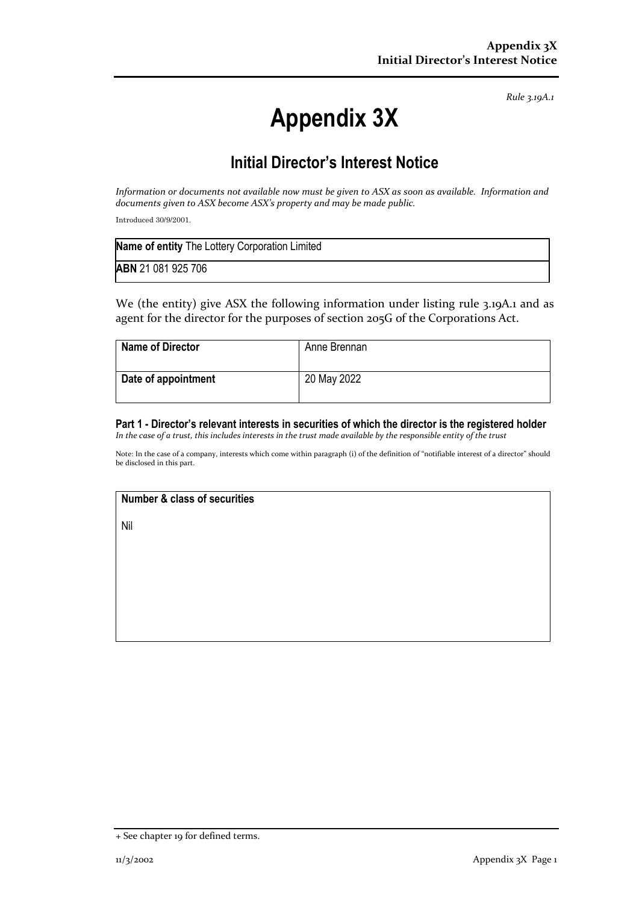*Rule 3.19A.1*

# **Appendix 3X**

## **Initial Director's Interest Notice**

*Information or documents not available now must be given to ASX as soon as available. Information and documents given to ASX become ASX's property and may be made public.*

Introduced 30/9/2001.

| Name of entity The Lottery Corporation Limited |
|------------------------------------------------|
| <b>ABN</b> 21 081 925 706                      |

We (the entity) give ASX the following information under listing rule 3.19A.1 and as agent for the director for the purposes of section 205G of the Corporations Act.

| <b>Name of Director</b> | Anne Brennan |
|-------------------------|--------------|
| Date of appointment     | 20 May 2022  |

## **Part 1 - Director's relevant interests in securities of which the director is the registered holder**

*In the case of a trust, this includes interests in the trust made available by the responsible entity of the trust*

Note: In the case of a company, interests which come within paragraph (i) of the definition of "notifiable interest of a director" should be disclosed in this part.

## **Number & class of securities**

Nil

<sup>+</sup> See chapter 19 for defined terms.